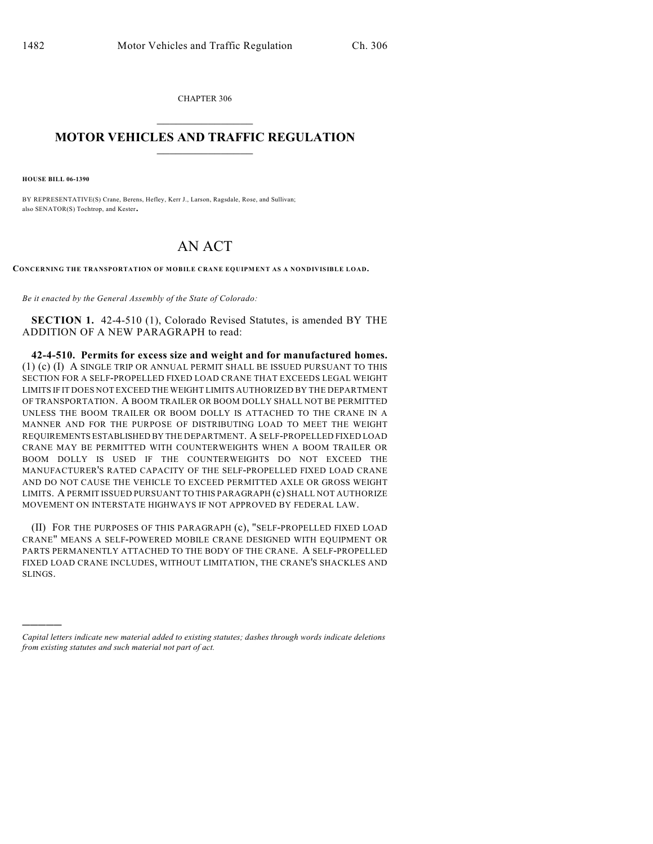CHAPTER 306  $\overline{\phantom{a}}$  . The set of the set of the set of the set of the set of the set of the set of the set of the set of the set of the set of the set of the set of the set of the set of the set of the set of the set of the set o

## **MOTOR VEHICLES AND TRAFFIC REGULATION**  $\frac{1}{2}$  ,  $\frac{1}{2}$  ,  $\frac{1}{2}$  ,  $\frac{1}{2}$  ,  $\frac{1}{2}$  ,  $\frac{1}{2}$  ,  $\frac{1}{2}$  ,  $\frac{1}{2}$

**HOUSE BILL 06-1390**

)))))

BY REPRESENTATIVE(S) Crane, Berens, Hefley, Kerr J., Larson, Ragsdale, Rose, and Sullivan; also SENATOR(S) Tochtrop, and Kester.

## AN ACT

**CONCERNING THE TRANSPORTATION OF MOBILE CRANE EQUIPMENT AS A NONDIVISIBLE LOAD.**

*Be it enacted by the General Assembly of the State of Colorado:*

**SECTION 1.** 42-4-510 (1), Colorado Revised Statutes, is amended BY THE ADDITION OF A NEW PARAGRAPH to read:

**42-4-510. Permits for excess size and weight and for manufactured homes.** (1) (c) (I) A SINGLE TRIP OR ANNUAL PERMIT SHALL BE ISSUED PURSUANT TO THIS SECTION FOR A SELF-PROPELLED FIXED LOAD CRANE THAT EXCEEDS LEGAL WEIGHT LIMITS IF IT DOES NOT EXCEED THE WEIGHT LIMITS AUTHORIZED BY THE DEPARTMENT OF TRANSPORTATION. A BOOM TRAILER OR BOOM DOLLY SHALL NOT BE PERMITTED UNLESS THE BOOM TRAILER OR BOOM DOLLY IS ATTACHED TO THE CRANE IN A MANNER AND FOR THE PURPOSE OF DISTRIBUTING LOAD TO MEET THE WEIGHT REQUIREMENTS ESTABLISHED BY THE DEPARTMENT. A SELF-PROPELLED FIXED LOAD CRANE MAY BE PERMITTED WITH COUNTERWEIGHTS WHEN A BOOM TRAILER OR BOOM DOLLY IS USED IF THE COUNTERWEIGHTS DO NOT EXCEED THE MANUFACTURER'S RATED CAPACITY OF THE SELF-PROPELLED FIXED LOAD CRANE AND DO NOT CAUSE THE VEHICLE TO EXCEED PERMITTED AXLE OR GROSS WEIGHT LIMITS. A PERMIT ISSUED PURSUANT TO THIS PARAGRAPH (c) SHALL NOT AUTHORIZE MOVEMENT ON INTERSTATE HIGHWAYS IF NOT APPROVED BY FEDERAL LAW.

(II) FOR THE PURPOSES OF THIS PARAGRAPH (c), "SELF-PROPELLED FIXED LOAD CRANE" MEANS A SELF-POWERED MOBILE CRANE DESIGNED WITH EQUIPMENT OR PARTS PERMANENTLY ATTACHED TO THE BODY OF THE CRANE. A SELF-PROPELLED FIXED LOAD CRANE INCLUDES, WITHOUT LIMITATION, THE CRANE'S SHACKLES AND SLINGS.

*Capital letters indicate new material added to existing statutes; dashes through words indicate deletions from existing statutes and such material not part of act.*